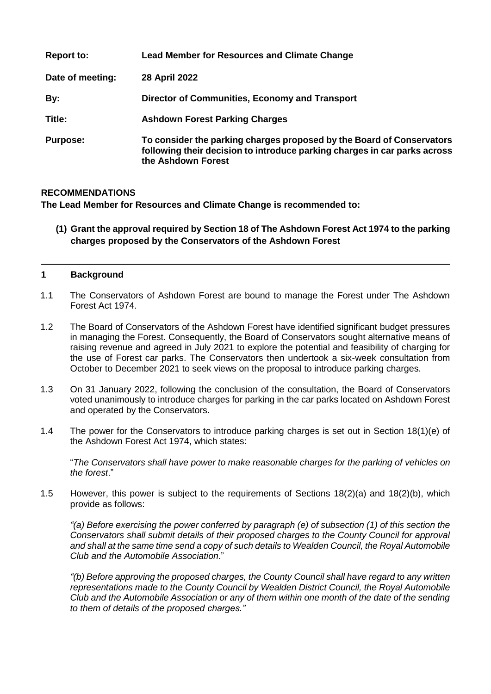| <b>Report to:</b> | <b>Lead Member for Resources and Climate Change</b>                                                                                                                      |
|-------------------|--------------------------------------------------------------------------------------------------------------------------------------------------------------------------|
| Date of meeting:  | 28 April 2022                                                                                                                                                            |
| By:               | Director of Communities, Economy and Transport                                                                                                                           |
| Title:            | <b>Ashdown Forest Parking Charges</b>                                                                                                                                    |
| <b>Purpose:</b>   | To consider the parking charges proposed by the Board of Conservators<br>following their decision to introduce parking charges in car parks across<br>the Ashdown Forest |

# **RECOMMENDATIONS**

**The Lead Member for Resources and Climate Change is recommended to:**

**(1) Grant the approval required by Section 18 of The Ashdown Forest Act 1974 to the parking charges proposed by the Conservators of the Ashdown Forest**

#### **1 Background**

- 1.1 The Conservators of Ashdown Forest are bound to manage the Forest under The Ashdown Forest Act 1974.
- 1.2 The Board of Conservators of the Ashdown Forest have identified significant budget pressures in managing the Forest. Consequently, the Board of Conservators sought alternative means of raising revenue and agreed in July 2021 to explore the potential and feasibility of charging for the use of Forest car parks. The Conservators then undertook a six-week consultation from October to December 2021 to seek views on the proposal to introduce parking charges.
- 1.3 On 31 January 2022, following the conclusion of the consultation, the Board of Conservators voted unanimously to introduce charges for parking in the car parks located on Ashdown Forest and operated by the Conservators.
- 1.4 The power for the Conservators to introduce parking charges is set out in Section 18(1)(e) of the Ashdown Forest Act 1974, which states:

"*The Conservators shall have power to make reasonable charges for the parking of vehicles on the forest*."

1.5 However, this power is subject to the requirements of Sections 18(2)(a) and 18(2)(b), which provide as follows:

*"(a) Before exercising the power conferred by paragraph (e) of subsection (1) of this section the Conservators shall submit details of their proposed charges to the County Council for approval and shall at the same time send a copy of such details to Wealden Council, the Royal Automobile Club and the Automobile Association*."

*"(b) Before approving the proposed charges, the County Council shall have regard to any written representations made to the County Council by Wealden District Council, the Royal Automobile Club and the Automobile Association or any of them within one month of the date of the sending to them of details of the proposed charges."*